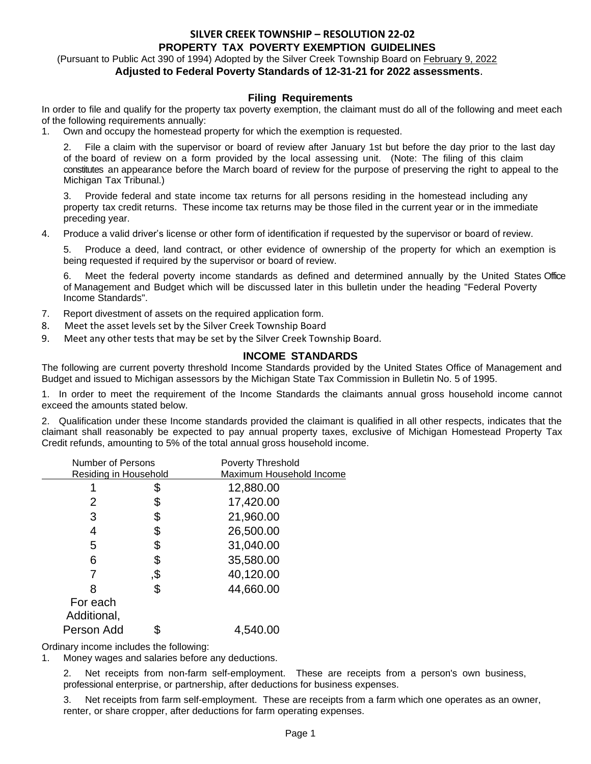## **SILVER CREEK TOWNSHIP – RESOLUTION 22-02 PROPERTY TAX POVERTY EXEMPTION GUIDELINES**

### (Pursuant to Public Act 390 of 1994) Adopted by the Silver Creek Township Board on February 9, 2022 **Adjusted to Federal Poverty Standards of 12-31-21 for 2022 assessments**.

### **Filing Requirements**

In order to file and qualify for the property tax poverty exemption, the claimant must do all of the following and meet each of the following requirements annually:

1. Own and occupy the homestead property for which the exemption is requested.

2. File a claim with the supervisor or board of review after January 1st but before the day prior to the last day of the board of review on a form provided by the local assessing unit. (Note: The filing of this claim constitutes an appearance before the March board of review for the purpose of preserving the right to appeal to the Michigan Tax Tribunal.)

3. Provide federal and state income tax returns for all persons residing in the homestead including any property tax credit returns. These income tax returns may be those filed in the current year or in the immediate preceding year.

4. Produce a valid driver's license or other form of identification if requested by the supervisor or board of review.

5. Produce a deed, land contract, or other evidence of ownership of the property for which an exemption is being requested if required by the supervisor or board of review.

6. Meet the federal poverty income standards as defined and determined annually by the United States Office of Management and Budget which will be discussed later in this bulletin under the heading "Federal Poverty Income Standards".

- 7. Report divestment of assets on the required application form.
- 8. Meet the asset levels set by the Silver Creek Township Board
- 9. Meet any other tests that may be set by the Silver Creek Township Board.

### **INCOME STANDARDS**

The following are current poverty threshold Income Standards provided by the United States Office of Management and Budget and issued to Michigan assessors by the Michigan State Tax Commission in Bulletin No. 5 of 1995.

1. In order to meet the requirement of the Income Standards the claimants annual gross household income cannot exceed the amounts stated below.

2. Qualification under these Income standards provided the claimant is qualified in all other respects, indicates that the claimant shall reasonably be expected to pay annual property taxes, exclusive of Michigan Homestead Property Tax Credit refunds, amounting to 5% of the total annual gross household income.

| <b>Number of Persons</b> |     | <b>Poverty Threshold</b> |  |
|--------------------------|-----|--------------------------|--|
| Residing in Household    |     | Maximum Household Income |  |
|                          | \$  | 12,880.00                |  |
| 2                        | \$  | 17,420.00                |  |
| 3                        | \$  | 21,960.00                |  |
| 4                        | \$  | 26,500.00                |  |
| 5                        | \$  | 31,040.00                |  |
| 6                        | \$  | 35,580.00                |  |
|                          | \$, | 40,120.00                |  |
|                          | \$  | 44,660.00                |  |
| For each                 |     |                          |  |
| Additional,              |     |                          |  |
| Person Add               |     | 4,540.00                 |  |

Ordinary income includes the following:

1. Money wages and salaries before any deductions.

2. Net receipts from non-farm self-employment. These are receipts from a person's own business, professional enterprise, or partnership, after deductions for business expenses.

3. Net receipts from farm self-employment. These are receipts from a farm which one operates as an owner, renter, or share cropper, after deductions for farm operating expenses.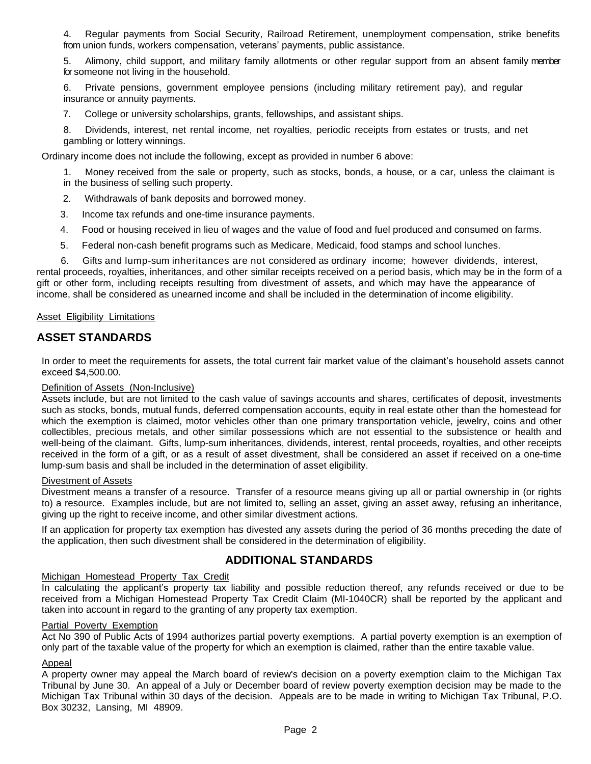4. Regular payments from Social Security, Railroad Retirement, unemployment compensation, strike benefits from union funds, workers compensation, veterans' payments, public assistance.

5. Alimony, child support, and military family allotments or other regular support from an absent family member for someone not living in the household.

6. Private pensions, government employee pensions (including military retirement pay), and regular insurance or annuity payments.

7. College or university scholarships, grants, fellowships, and assistant ships.

8. Dividends, interest, net rental income, net royalties, periodic receipts from estates or trusts, and net gambling or lottery winnings.

Ordinary income does not include the following, except as provided in number 6 above:

1. Money received from the sale or property, such as stocks, bonds, a house, or a car, unless the claimant is in the business of selling such property.

- 2. Withdrawals of bank deposits and borrowed money.
- 3. Income tax refunds and one-time insurance payments.
- 4. Food or housing received in lieu of wages and the value of food and fuel produced and consumed on farms.
- 5. Federal non-cash benefit programs such as Medicare, Medicaid, food stamps and school lunches.

 6. Gifts and lump-sum inheritances are not considered as ordinary income; however dividends, interest, rental proceeds, royalties, inheritances, and other similar receipts received on a period basis, which may be in the form of a gift or other form, including receipts resulting from divestment of assets, and which may have the appearance of income, shall be considered as unearned income and shall be included in the determination of income eligibility.

#### Asset Eligibility Limitations

# **ASSET STANDARDS**

In order to meet the requirements for assets, the total current fair market value of the claimant's household assets cannot exceed \$4,500.00.

#### Definition of Assets (Non-Inclusive)

Assets include, but are not limited to the cash value of savings accounts and shares, certificates of deposit, investments such as stocks, bonds, mutual funds, deferred compensation accounts, equity in real estate other than the homestead for which the exemption is claimed, motor vehicles other than one primary transportation vehicle, jewelry, coins and other collectibles, precious metals, and other similar possessions which are not essential to the subsistence or health and well-being of the claimant. Gifts, lump-sum inheritances, dividends, interest, rental proceeds, royalties, and other receipts received in the form of a gift, or as a result of asset divestment, shall be considered an asset if received on a one-time lump-sum basis and shall be included in the determination of asset eligibility.

#### Divestment of Assets

Divestment means a transfer of a resource. Transfer of a resource means giving up all or partial ownership in (or rights to) a resource. Examples include, but are not limited to, selling an asset, giving an asset away, refusing an inheritance, giving up the right to receive income, and other similar divestment actions.

If an application for property tax exemption has divested any assets during the period of 36 months preceding the date of the application, then such divestment shall be considered in the determination of eligibility.

# **ADDITIONAL STANDARDS**

#### Michigan Homestead Property Tax Credit

In calculating the applicant's property tax liability and possible reduction thereof, any refunds received or due to be received from a Michigan Homestead Property Tax Credit Claim (MI-1040CR) shall be reported by the applicant and taken into account in regard to the granting of any property tax exemption.

#### Partial Poverty Exemption

Act No 390 of Public Acts of 1994 authorizes partial poverty exemptions. A partial poverty exemption is an exemption of only part of the taxable value of the property for which an exemption is claimed, rather than the entire taxable value.

#### Appeal

A property owner may appeal the March board of review's decision on a poverty exemption claim to the Michigan Tax Tribunal by June 30. An appeal of a July or December board of review poverty exemption decision may be made to the Michigan Tax Tribunal within 30 days of the decision. Appeals are to be made in writing to Michigan Tax Tribunal, P.O. Box 30232, Lansing, MI 48909.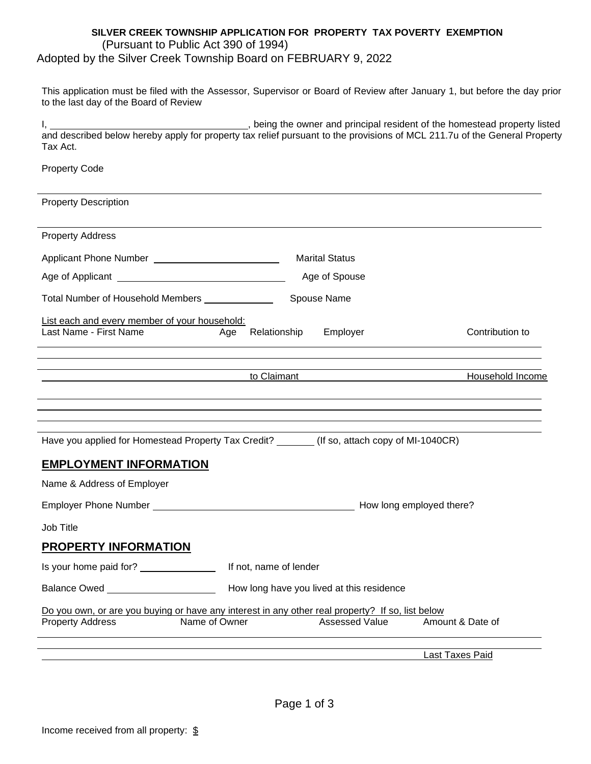## **SILVER CREEK TOWNSHIP APPLICATION FOR PROPERTY TAX POVERTY EXEMPTION** (Pursuant to Public Act 390 of 1994) Adopted by the Silver Creek Township Board on FEBRUARY 9, 2022

This application must be filed with the Assessor, Supervisor or Board of Review after January 1, but before the day prior to the last day of the Board of Review

I, <u>All Charles and principal resident of the homestead property listed</u> is the homestead property listed and described below hereby apply for property tax relief pursuant to the provisions of MCL 211.7u of the General Property Tax Act.

Property Code

| <b>Property Description</b>                                                                                                                  |                        |                                           |                                 |
|----------------------------------------------------------------------------------------------------------------------------------------------|------------------------|-------------------------------------------|---------------------------------|
| <b>Property Address</b>                                                                                                                      |                        |                                           |                                 |
| Applicant Phone Number ___________________________                                                                                           |                        | <b>Marital Status</b>                     |                                 |
|                                                                                                                                              |                        | Age of Spouse                             |                                 |
| Total Number of Household Members _____________                                                                                              |                        | Spouse Name                               |                                 |
| List each and every member of your household:<br>Last Name - First Name                                                                      | Relationship<br>Age    | Employer                                  | Contribution to                 |
|                                                                                                                                              | to Claimant            |                                           | Household Income                |
| Have you applied for Homestead Property Tax Credit? ______(If so, attach copy of MI-1040CR)                                                  |                        |                                           |                                 |
| <b>EMPLOYMENT INFORMATION</b>                                                                                                                |                        |                                           |                                 |
| Name & Address of Employer                                                                                                                   |                        |                                           |                                 |
|                                                                                                                                              |                        |                                           |                                 |
| Job Title                                                                                                                                    |                        |                                           |                                 |
| <b>PROPERTY INFORMATION</b>                                                                                                                  |                        |                                           |                                 |
| Is your home paid for? _________________                                                                                                     | If not, name of lender |                                           |                                 |
|                                                                                                                                              |                        | How long have you lived at this residence |                                 |
| Do you own, or are you buying or have any interest in any other real property? If so, list below<br><b>Property Address</b><br>Name of Owner |                        |                                           | Assessed Value Amount & Date of |
|                                                                                                                                              |                        |                                           | <b>Last Taxes Paid</b>          |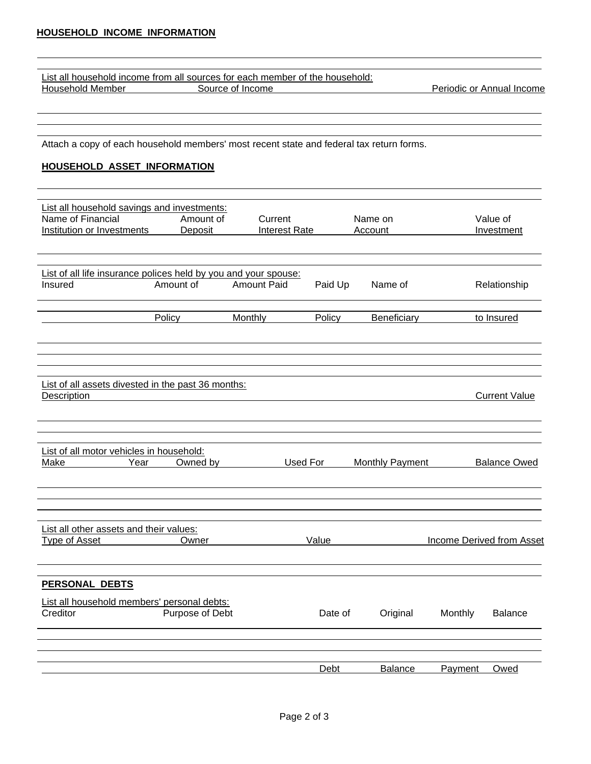|                  | List all household income from all sources for each member of the household: |                           |
|------------------|------------------------------------------------------------------------------|---------------------------|
| Household Member | Source of Income                                                             | Periodic or Annual Income |

Attach a copy of each household members' most recent state and federal tax return forms.

## **HOUSEHOLD ASSET INFORMATION**

| List all household savings and investments:                                |                 |                      |         |                 |         |                           |
|----------------------------------------------------------------------------|-----------------|----------------------|---------|-----------------|---------|---------------------------|
| Name of Financial                                                          | Amount of       | Current              |         | Name on         |         | Value of                  |
| Institution or Investments                                                 | Deposit         | <b>Interest Rate</b> |         | Account         |         | Investment                |
|                                                                            |                 |                      |         |                 |         |                           |
|                                                                            |                 |                      |         |                 |         |                           |
| List of all life insurance polices held by you and your spouse:<br>Insured | Amount of       | <b>Amount Paid</b>   | Paid Up | Name of         |         | Relationship              |
|                                                                            | Policy          | Monthly              | Policy  | Beneficiary     |         | to Insured                |
|                                                                            |                 |                      |         |                 |         |                           |
|                                                                            |                 |                      |         |                 |         |                           |
| List of all assets divested in the past 36 months:                         |                 |                      |         |                 |         |                           |
| Description                                                                |                 |                      |         |                 |         | <b>Current Value</b>      |
|                                                                            |                 |                      |         |                 |         |                           |
| List of all motor vehicles in household:                                   |                 |                      |         |                 |         |                           |
| Make<br>Year                                                               | Owned by        | Used For             |         | Monthly Payment |         | <b>Balance Owed</b>       |
|                                                                            |                 |                      |         |                 |         |                           |
| List all other assets and their values:                                    |                 |                      |         |                 |         |                           |
| <b>Type of Asset</b>                                                       | Owner           |                      | Value   |                 |         | Income Derived from Asset |
| <b>PERSONAL DEBTS</b>                                                      |                 |                      |         |                 |         |                           |
| List all household members' personal debts:                                |                 |                      |         |                 |         |                           |
| Creditor                                                                   | Purpose of Debt |                      | Date of | Original        | Monthly | <b>Balance</b>            |
|                                                                            |                 |                      |         |                 |         |                           |
|                                                                            |                 |                      | Debt    | Balance         | Payment | Owed                      |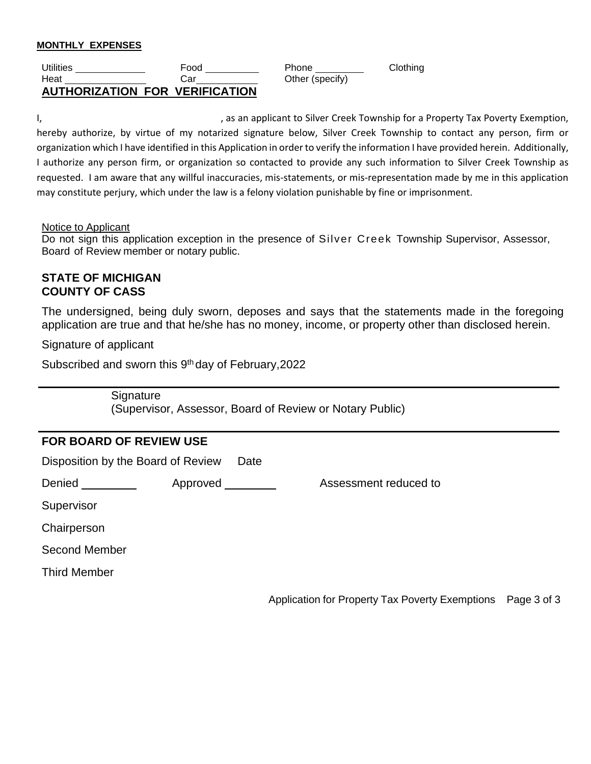## **MONTHLY EXPENSES**

| <b>Utilities</b> | Food                                  | Phone           | Clothing |
|------------------|---------------------------------------|-----------------|----------|
| Heat             | Car                                   | Other (specify) |          |
|                  | <b>AUTHORIZATION FOR VERIFICATION</b> |                 |          |

Other (specify)

I, the same control of the state of the same problem of the same property as an applicant to Silver Creek Township for a Property Tax Poverty Exemption, hereby authorize, by virtue of my notarized signature below, Silver Creek Township to contact any person, firm or organization which I have identified in this Application in order to verify the information I have provided herein. Additionally, I authorize any person firm, or organization so contacted to provide any such information to Silver Creek Township as requested. I am aware that any willful inaccuracies, mis-statements, or mis-representation made by me in this application may constitute perjury, which under the law is a felony violation punishable by fine or imprisonment.

### Notice to Applicant

Do not sign this application exception in the presence of Silver Creek Township Supervisor, Assessor, Board of Review member or notary public.

## **STATE OF MICHIGAN COUNTY OF CASS**

The undersigned, being duly sworn, deposes and says that the statements made in the foregoing application are true and that he/she has no money, income, or property other than disclosed herein.

Signature of applicant

Subscribed and sworn this 9<sup>th</sup> day of February, 2022

**Signature** (Supervisor, Assessor, Board of Review or Notary Public)

# **FOR BOARD OF REVIEW USE**

Disposition by the Board of Review Date

Denied **Approved** Assessment reduced to

**Supervisor** 

**Chairperson** 

Second Member

Third Member

Application for Property Tax Poverty Exemptions Page 3 of 3